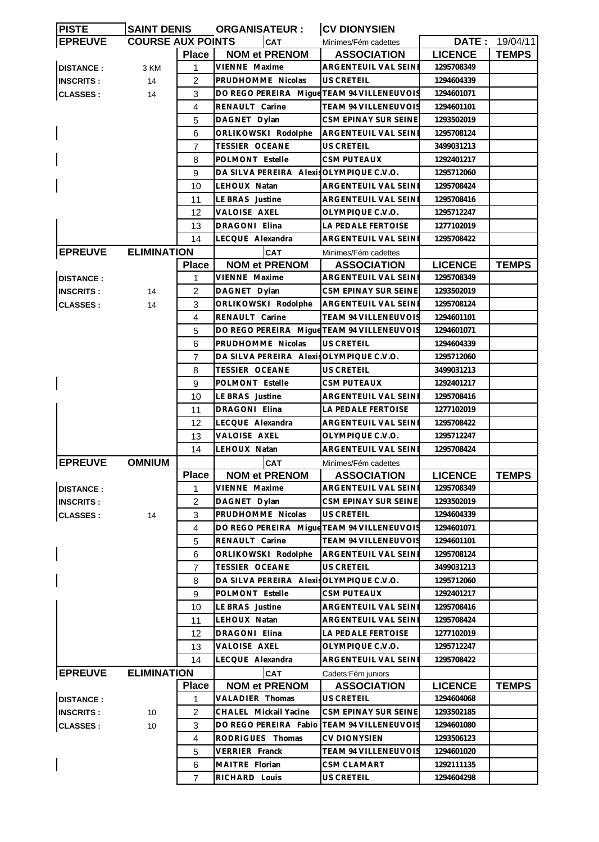| <b>PISTE</b>     | <b>SAINT DENIS</b>       |                | <b>ORGANISATEUR:</b>                       | <b>CV DIONYSIEN</b>                          |                |                       |
|------------------|--------------------------|----------------|--------------------------------------------|----------------------------------------------|----------------|-----------------------|
| <b>EPREUVE</b>   | <b>COURSE AUX POINTS</b> |                | <b>CAT</b>                                 | Minimes/Fém cadettes                         |                | <b>DATE: 19/04/11</b> |
|                  |                          | <b>Place</b>   | <b>NOM et PRENOM</b>                       | <b>ASSOCIATION</b>                           | <b>LICENCE</b> | <b>TEMPS</b>          |
| <b>DISTANCE:</b> | 3 KM                     | 1              | VIENNE Maxime                              | ARGENTEUIL VAL SEINI                         | 1295708349     |                       |
| <b>INSCRITS:</b> | 14                       | 2              | PRUDHOMME Nicolas                          | US CRETEIL                                   | 1294604339     |                       |
| <b>CLASSES:</b>  | 14                       | 3              | DO REGO PEREIRA Migue TEAM 94 VILLENEUVOIS |                                              | 1294601071     |                       |
|                  |                          | 4              | RENAULT Carine                             | <b>TEAM 94 VILLENEUVOIS</b>                  | 1294601101     |                       |
|                  |                          | 5              | DAGNET Dylan                               | CSM EPINAY SUR SEINE                         | 1293502019     |                       |
|                  |                          | 6              | ORLIKOWSKI Rodolphe                        | ARGENTEUIL VAL SEINE                         | 1295708124     |                       |
|                  |                          |                |                                            |                                              |                |                       |
|                  |                          | 7              | TESSIER OCEANE                             | US CRETEIL                                   | 3499031213     |                       |
|                  |                          | 8              | POLMONT Estelle                            | CSM PUTEAUX                                  | 1292401217     |                       |
|                  |                          | 9              | DA SILVA PEREIRA Alexis OLYMPIQUE C.V.O.   |                                              | 1295712060     |                       |
|                  |                          | 10             | LEHOUX Natan                               | ARGENTEUIL VAL SEINI                         | 1295708424     |                       |
|                  |                          | 11             | LE BRAS Justine                            | ARGENTEUIL VAL SEINI                         | 1295708416     |                       |
|                  |                          | 12             | VALOISE AXEL                               | OLYMPIQUE C.V.O.                             | 1295712247     |                       |
|                  |                          | 13             | <b>DRAGONI Elina</b>                       | LA PEDALE FERTOISE                           | 1277102019     |                       |
|                  |                          | 14             | LECQUE Alexandra                           | ARGENTEUIL VAL SEINE                         | 1295708422     |                       |
| <b>EPREUVE</b>   | <b>ELIMINATION</b>       |                | CAT                                        | Minimes/Fém cadettes                         |                |                       |
|                  |                          | <b>Place</b>   | <b>NOM et PRENOM</b>                       | <b>ASSOCIATION</b>                           | <b>LICENCE</b> | <b>TEMPS</b>          |
| <b>DISTANCE:</b> |                          | 1              | VIENNE Maxime                              | ARGENTEUIL VAL SEINI                         | 1295708349     |                       |
| <b>INSCRITS:</b> | 14                       | 2              | DAGNET Dylan                               | CSM EPINAY SUR SEINE                         | 1293502019     |                       |
| <b>CLASSES:</b>  | 14                       | 3              | ORLIKOWSKI Rodolphe                        | ARGENTEUIL VAL SEINE                         | 1295708124     |                       |
|                  |                          | 4              | RENAULT Carine                             | <b>TEAM 94 VILLENEUVOIS</b>                  | 1294601101     |                       |
|                  |                          | 5              | DO REGO PEREIRA Migue TEAM 94 VILLENEUVOIS |                                              | 1294601071     |                       |
|                  |                          | 6              | PRUDHOMME Nicolas                          | US CRETEIL                                   | 1294604339     |                       |
|                  |                          | 7              | DA SILVA PEREIRA Alexis OLYMPIQUE C.V.O.   |                                              | 1295712060     |                       |
|                  |                          | 8              | <b>TESSIER OCEANE</b>                      | US CRETEIL                                   | 3499031213     |                       |
|                  |                          | 9              | POLMONT Estelle                            | CSM PUTEAUX                                  | 1292401217     |                       |
|                  |                          | 10             | LE BRAS Justine                            | ARGENTEUIL VAL SEINI                         | 1295708416     |                       |
|                  |                          | 11             | DRAGONI Elina                              | LA PEDALE FERTOISE                           | 1277102019     |                       |
|                  |                          | 12             | LECQUE Alexandra                           | ARGENTEUIL VAL SEINI                         | 1295708422     |                       |
|                  |                          | 13             | VALOISE AXEL                               | OLYMPIQUE C.V.O.                             | 1295712247     |                       |
|                  |                          | 14             | LEHOUX Natan                               | <b>ARGENTEUIL VAL SEINE</b>                  | 1295708424     |                       |
| <b>EPREUVE</b>   | <b>OMNIUM</b>            |                | <b>CAT</b>                                 | Minimes/Fém cadettes                         |                |                       |
|                  |                          | <b>Place</b>   | <b>NOM et PRENOM</b>                       | <b>ASSOCIATION</b>                           | <b>LICENCE</b> | <b>TEMPS</b>          |
| <b>DISTANCE:</b> |                          | 1              | VIENNE Maxime                              | ARGENTEUIL VAL SEINE                         | 1295708349     |                       |
| <b>INSCRITS:</b> |                          | 2              | DAGNET Dylan                               | CSM EPINAY SUR SEINE                         | 1293502019     |                       |
| <b>CLASSES:</b>  | 14                       | 3              | PRUDHOMME Nicolas                          | US CRETEIL                                   | 1294604339     |                       |
|                  |                          | 4              | DO REGO PEREIRA Mique TEAM 94 VILLENEUVOIS |                                              | 1294601071     |                       |
|                  |                          | 5              | RENAULT Carine                             | TEAM 94 VILLENEUVOIS                         | 1294601101     |                       |
|                  |                          | 6              | ORLIKOWSKI Rodolphe                        | ARGENTEUIL VAL SEINI                         | 1295708124     |                       |
|                  |                          | $\overline{7}$ | TESSIER OCEANE                             | US CRETEIL                                   | 3499031213     |                       |
|                  |                          | 8              | DA SILVA PEREIRA Alexis OLYMPIQUE C.V.O.   |                                              | 1295712060     |                       |
|                  |                          | 9              |                                            |                                              |                |                       |
|                  |                          |                | POLMONT Estelle                            | <b>CSM PUTEAUX</b>                           | 1292401217     |                       |
|                  |                          | 10             | LE BRAS Justine                            | ARGENTEUIL VAL SEINE<br>ARGENTEUIL VAL SEINE | 1295708416     |                       |
|                  |                          | 11             | LEHOUX Natan                               |                                              | 1295708424     |                       |
|                  |                          | 12             | DRAGONI Elina                              | LA PEDALE FERTOISE                           | 1277102019     |                       |
|                  |                          | 13             | VALOISE AXEL                               | OLYMPIQUE C.V.O.                             | 1295712247     |                       |
|                  |                          | 14             | LECQUE Alexandra                           | ARGENTEUIL VAL SEINE                         | 1295708422     |                       |
| <b>EPREUVE</b>   | <b>ELIMINATION</b>       |                | <b>CAT</b>                                 | Cadets: Fém juniors                          |                |                       |
|                  |                          | <b>Place</b>   | <b>NOM et PRENOM</b>                       | <b>ASSOCIATION</b>                           | <b>LICENCE</b> | <b>TEMPS</b>          |
| <b>DISTANCE:</b> |                          | 1              | VALADIER Thomas                            | US CRETEIL                                   | 1294604068     |                       |
| <b>INSCRITS:</b> | 10                       | $\overline{c}$ | CHALEL Mickail Yacine                      | CSM EPINAY SUR SEINE                         | 1293502185     |                       |
| <b>CLASSES:</b>  | 10                       | 3              | DO REGO PEREIRA Fabio                      | <b>TEAM 94 VILLENEUVOIS</b>                  | 1294601080     |                       |
|                  |                          | 4              | RODRIGUES Thomas                           | CV DIONYSIEN                                 | 1293506123     |                       |
|                  |                          | 5              | VERRIER Franck                             | <b>TEAM 94 VILLENEUVOIS</b>                  | 1294601020     |                       |
|                  |                          | 6              | MAITRE Florian                             | <b>CSM CLAMART</b>                           | 1292111135     |                       |
|                  |                          | $\overline{7}$ | RICHARD Louis                              | US CRETEIL                                   | 1294604298     |                       |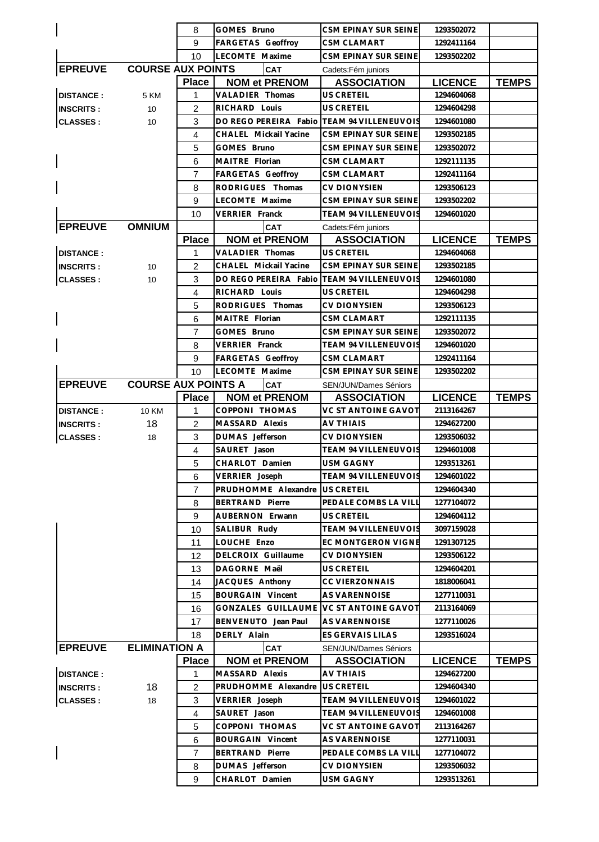|                  |                            | 8              | GOMES Bruno                    | CSM EPINAY SUR SEINE        | 1293502072     |              |
|------------------|----------------------------|----------------|--------------------------------|-----------------------------|----------------|--------------|
|                  |                            | 9              | <b>FARGETAS Geoffroy</b>       | <b>CSM CLAMART</b>          | 1292411164     |              |
|                  |                            | 10             | LECOMTE Maxime                 | CSM EPINAY SUR SEINE        | 1293502202     |              |
| <b>EPREUVE</b>   | <b>COURSE AUX POINTS</b>   |                | <b>CAT</b>                     | Cadets: Fém juniors         |                |              |
|                  |                            | <b>Place</b>   | <b>NOM et PRENOM</b>           | <b>ASSOCIATION</b>          | <b>LICENCE</b> | <b>TEMPS</b> |
| <b>DISTANCE:</b> | 5 KM                       | 1              | VALADIER Thomas                | US CRETEIL                  | 1294604068     |              |
| <b>INSCRITS:</b> | 10                         | $\overline{2}$ | RICHARD Louis                  | <b>US CRETEIL</b>           | 1294604298     |              |
| <b>CLASSES:</b>  | 10                         | 3              | DO REGO PEREIRA Fabio          | <b>TEAM 94 VILLENEUVOIS</b> | 1294601080     |              |
|                  |                            | 4              | CHALEL Mickail Yacine          | CSM EPINAY SUR SEINE        | 1293502185     |              |
|                  |                            | 5              | GOMES Bruno                    | CSM EPINAY SUR SEINE        | 1293502072     |              |
|                  |                            | 6              | MAITRE Florian                 | <b>CSM CLAMART</b>          | 1292111135     |              |
|                  |                            | $\overline{7}$ | <b>FARGETAS Geoffroy</b>       | <b>CSM CLAMART</b>          | 1292411164     |              |
|                  |                            | 8              | RODRIGUES Thomas               | <b>CV DIONYSIEN</b>         | 1293506123     |              |
|                  |                            | 9              | LECOMTE Maxime                 | CSM EPINAY SUR SEINE        | 1293502202     |              |
|                  |                            | 10             | VERRIER Franck                 | <b>TEAM 94 VILLENEUVOIS</b> | 1294601020     |              |
| <b>EPREUVE</b>   | <b>OMNIUM</b>              |                | <b>CAT</b>                     | Cadets: Fém juniors         |                |              |
|                  |                            | <b>Place</b>   | <b>NOM et PRENOM</b>           | <b>ASSOCIATION</b>          | <b>LICENCE</b> | <b>TEMPS</b> |
| <b>DISTANCE:</b> |                            | 1              | VALADIER Thomas                | US CRETEIL                  | 1294604068     |              |
| <b>INSCRITS:</b> | 10                         | 2              | CHALEL Mickail Yacine          | CSM EPINAY SUR SEINE        | 1293502185     |              |
| <b>CLASSES:</b>  | 10                         | 3              | DO REGO PEREIRA Fabio          | <b>TEAM 94 VILLENEUVOIS</b> | 1294601080     |              |
|                  |                            | 4              | RICHARD Louis                  | US CRETEIL                  | 1294604298     |              |
|                  |                            | 5              | RODRIGUES Thomas               | <b>CV DIONYSIEN</b>         | 1293506123     |              |
|                  |                            | 6              | MAITRE Florian                 | CSM CLAMART                 | 1292111135     |              |
|                  |                            | 7              | GOMES Bruno                    | CSM EPINAY SUR SEINE        | 1293502072     |              |
|                  |                            | 8              | VERRIER Franck                 | <b>TEAM 94 VILLENEUVOIS</b> | 1294601020     |              |
|                  |                            | 9              | <b>FARGETAS Geoffroy</b>       | <b>CSM CLAMART</b>          | 1292411164     |              |
|                  |                            | 10             | LECOMTE Maxime                 | <b>CSM EPINAY SUR SEINE</b> | 1293502202     |              |
| <b>EPREUVE</b>   | <b>COURSE AUX POINTS A</b> |                | <b>CAT</b>                     | SEN/JUN/Dames Séniors       |                |              |
|                  |                            | <b>Place</b>   | <b>NOM et PRENOM</b>           | <b>ASSOCIATION</b>          | <b>LICENCE</b> | <b>TEMPS</b> |
| <b>DISTANCE:</b> | <b>10 KM</b>               | 1              | COPPONI THOMAS                 | VC ST ANTOINE GAVOT         | 2113164267     |              |
| <b>INSCRITS:</b> | 18                         | 2              | MASSARD Alexis                 | AV THIAIS                   | 1294627200     |              |
| <b>CLASSES:</b>  | 18                         | 3              | DUMAS Jefferson                | <b>CV DIONYSIEN</b>         | 1293506032     |              |
|                  |                            | $\overline{4}$ | SAURET Jason                   | TEAM 94 VILLENEUVOIS        | 1294601008     |              |
|                  |                            | 5              | CHARLOT Damien                 | USM GAGNY                   | 1293513261     |              |
|                  |                            | 6              | VERRIER Joseph                 | TEAM 94 VILLENEUVOIS        | 1294601022     |              |
|                  |                            | $\overline{7}$ | PRUDHOMME Alexandre US CRETEIL |                             | 1294604340     |              |
|                  |                            | 8              | <b>BERTRAND Pierre</b>         | PEDALE COMBS LA VILL        | 1277104072     |              |
|                  |                            | 9              | AUBERNON Erwann                | <b>US CRETEIL</b>           | 1294604112     |              |
|                  |                            | 10             | SALIBUR Rudy                   | <b>TEAM 94 VILLENEUVOIS</b> | 3097159028     |              |
|                  |                            | 11             | LOUCHE Enzo                    | EC MONTGERON VIGNE          | 1291307125     |              |
|                  |                            | 12             | DELCROIX Guillaume             | <b>CV DIONYSIEN</b>         | 1293506122     |              |
|                  |                            | 13             | DAGORNE Maël                   | US CRETEIL                  | 1294604201     |              |
|                  |                            | 14             | JACQUES Anthony                | <b>CC VIERZONNAIS</b>       | 1818006041     |              |
|                  |                            |                | <b>BOURGAIN Vincent</b>        | AS VARENNOISE               | 1277110031     |              |
|                  |                            | 15             |                                |                             |                |              |
|                  |                            | 16             | GONZALES GUILLAUME             | <b>VC ST ANTOINE GAVOT</b>  | 2113164069     |              |
|                  |                            | 17             | BENVENUTO Jean Paul            | AS VARENNOISE               | 1277110026     |              |
|                  |                            | 18             | DERLY Alain                    | ES GERVAIS LILAS            | 1293516024     |              |
| <b>EPREUVE</b>   | <b>ELIMINATION A</b>       |                | <b>CAT</b>                     | SEN/JUN/Dames Séniors       |                |              |
|                  |                            | <b>Place</b>   | <b>NOM et PRENOM</b>           | <b>ASSOCIATION</b>          | <b>LICENCE</b> | <b>TEMPS</b> |
| <b>DISTANCE:</b> |                            | 1              | MASSARD Alexis                 | AV THIAIS                   | 1294627200     |              |
| <b>INSCRITS:</b> | 18                         | $\overline{c}$ | PRUDHOMME Alexandre            | <b>US CRETEIL</b>           | 1294604340     |              |
| <b>CLASSES:</b>  | 18                         | 3              | VERRIER Joseph                 | TEAM 94 VILLENEUVOIS        | 1294601022     |              |
|                  |                            | 4              | SAURET Jason                   | <b>TEAM 94 VILLENEUVOIS</b> | 1294601008     |              |
|                  |                            | 5              | COPPONI THOMAS                 | VC ST ANTOINE GAVOT         | 2113164267     |              |
|                  |                            | 6              | <b>BOURGAIN Vincent</b>        | AS VARENNOISE               | 1277110031     |              |
|                  |                            | $\overline{7}$ | <b>BERTRAND Pierre</b>         | PEDALE COMBS LA VILL        | 1277104072     |              |
|                  |                            | 8              | DUMAS Jefferson                | <b>CV DIONYSIEN</b>         | 1293506032     |              |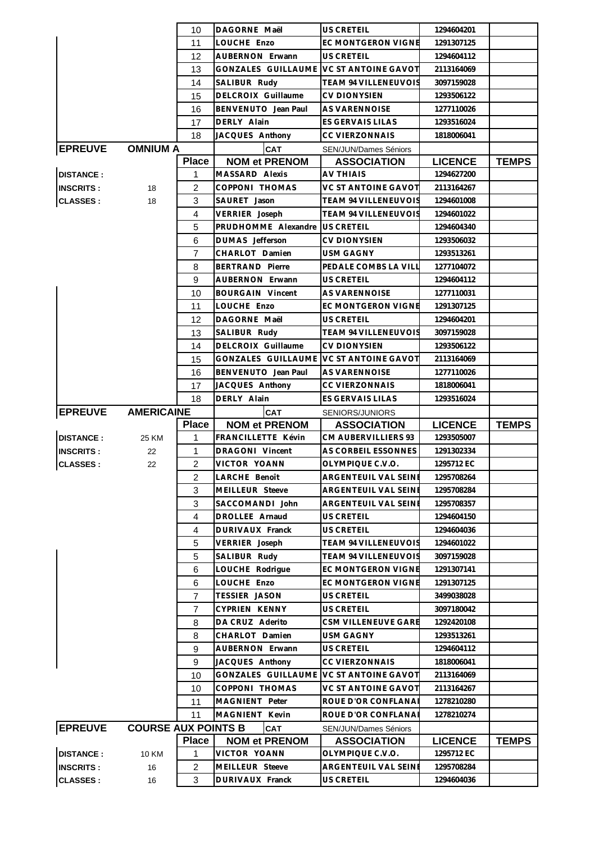|                  |                            | 10             | DAGORNE Maël              | <b>US CRETEIL</b>            | 1294604201     |              |
|------------------|----------------------------|----------------|---------------------------|------------------------------|----------------|--------------|
|                  |                            | 11             | LOUCHE Enzo               | <b>EC MONTGERON VIGNE</b>    | 1291307125     |              |
|                  |                            | 12             | <b>AUBERNON Erwann</b>    | US CRETEIL                   | 1294604112     |              |
|                  |                            | 13             | GONZALES GUILLAUME        | <b>VC ST ANTOINE GAVOT</b>   | 2113164069     |              |
|                  |                            | 14             | SALIBUR Rudy              | TEAM 94 VILLENEUVOIS         | 3097159028     |              |
|                  |                            | 15             | <b>DELCROIX Guillaume</b> | <b>CV DIONYSIEN</b>          | 1293506122     |              |
|                  |                            | 16             | BENVENUTO Jean Paul       | AS VARENNOISE                | 1277110026     |              |
|                  |                            | 17             | DERLY Alain               | ES GERVAIS LILAS             | 1293516024     |              |
|                  |                            | 18             | JACQUES Anthony           | <b>CC VIERZONNAIS</b>        | 1818006041     |              |
| <b>EPREUVE</b>   | <b>OMNIUM A</b>            |                | <b>CAT</b>                | <b>SEN/JUN/Dames Séniors</b> |                |              |
|                  |                            | <b>Place</b>   | <b>NOM et PRENOM</b>      | <b>ASSOCIATION</b>           | <b>LICENCE</b> | <b>TEMPS</b> |
| <b>DISTANCE:</b> |                            | 1              | MASSARD Alexis            | AV THIAIS                    | 1294627200     |              |
| <b>INSCRITS:</b> | 18                         | $\overline{2}$ | COPPONI THOMAS            | <b>VC ST ANTOINE GAVOT</b>   | 2113164267     |              |
| <b>CLASSES:</b>  | 18                         | 3              | SAURET Jason              | TEAM 94 VILLENEUVOIS         | 1294601008     |              |
|                  |                            | $\overline{4}$ | VERRIER Joseph            | <b>TEAM 94 VILLENEUVOIS</b>  | 1294601022     |              |
|                  |                            | 5              | PRUDHOMME Alexandre       | US CRETEIL                   | 1294604340     |              |
|                  |                            | 6              | DUMAS Jefferson           | <b>CV DIONYSIEN</b>          | 1293506032     |              |
|                  |                            | 7              | CHARLOT Damien            | <b>USM GAGNY</b>             | 1293513261     |              |
|                  |                            | 8              | <b>BERTRAND Pierre</b>    | PEDALE COMBS LA VILL         | 1277104072     |              |
|                  |                            | 9              | AUBERNON Erwann           | US CRETEIL                   | 1294604112     |              |
|                  |                            | 10             | <b>BOURGAIN Vincent</b>   | AS VARENNOISE                | 1277110031     |              |
|                  |                            | 11             | LOUCHE Enzo               | <b>EC MONTGERON VIGNE</b>    | 1291307125     |              |
|                  |                            | 12             | DAGORNE Maël              | <b>US CRETEIL</b>            | 1294604201     |              |
|                  |                            |                |                           |                              |                |              |
|                  |                            | 13             | SALIBUR Rudy              | TEAM 94 VILLENEUVOIS         | 3097159028     |              |
|                  |                            | 14             | DELCROIX Guillaume        | <b>CV DIONYSIEN</b>          | 1293506122     |              |
|                  |                            | 15             | GONZALES GUILLAUME        | <b>VC ST ANTOINE GAVOT</b>   | 2113164069     |              |
|                  |                            | 16             | BENVENUTO Jean Paul       | AS VARENNOISE                | 1277110026     |              |
|                  |                            | 17             | JACQUES Anthony           | <b>CC VIERZONNAIS</b>        | 1818006041     |              |
|                  |                            | 18             | DERLY Alain               | ES GERVAIS LILAS             | 1293516024     |              |
|                  |                            |                |                           |                              |                |              |
| <b>EPREUVE</b>   | <b>AMERICAINE</b>          |                | <b>CAT</b>                | SENIORS/JUNIORS              |                |              |
|                  |                            | <b>Place</b>   | <b>NOM et PRENOM</b>      | <b>ASSOCIATION</b>           | <b>LICENCE</b> | <b>TEMPS</b> |
| <b>DISTANCE:</b> | 25 KM                      | 1              | FRANCILLETTE Kévin        | CM AUBERVILLIERS 93          | 1293505007     |              |
| <b>INSCRITS:</b> | 22                         | $\mathbf{1}$   | <b>DRAGONI</b> Vincent    | AS CORBEIL ESSONNES          | 1291302334     |              |
| <b>CLASSES:</b>  | 22                         | $\overline{2}$ | VICTOR YOANN              | OLYMPIQUE C.V.O.             | 1295712 EC     |              |
|                  |                            | 2              | LARCHE Benoît             | ARGENTEUIL VAL SEINI         | 1295708264     |              |
|                  |                            | 3              | MEILLEUR Steeve           | ARGENTEUIL VAL SEINE         | 1295708284     |              |
|                  |                            | 3              | SACCOMANDI John           | ARGENTEUIL VAL SEINE         | 1295708357     |              |
|                  |                            | 4              | DROLLEE Arnaud            | US CRETEIL                   | 1294604150     |              |
|                  |                            | 4              | DURIVAUX Franck           | US CRETEIL                   | 1294604036     |              |
|                  |                            | 5              | VERRIER Joseph            | <b>TEAM 94 VILLENEUVOIS</b>  | 1294601022     |              |
|                  |                            | 5              | SALIBUR Rudy              | <b>TEAM 94 VILLENEUVOIS</b>  | 3097159028     |              |
|                  |                            | 6              | LOUCHE Rodrigue           | EC MONTGERON VIGNE           | 1291307141     |              |
|                  |                            | 6              | LOUCHE Enzo               | EC MONTGERON VIGNE           | 1291307125     |              |
|                  |                            | $\overline{7}$ | <b>TESSIER JASON</b>      | US CRETEIL                   | 3499038028     |              |
|                  |                            | 7              | CYPRIEN KENNY             | US CRETEIL                   | 3097180042     |              |
|                  |                            | 8              | DA CRUZ Aderito           | CSM VILLENEUVE GARE          | 1292420108     |              |
|                  |                            | 8              | CHARLOT Damien            | <b>USM GAGNY</b>             | 1293513261     |              |
|                  |                            | 9              | AUBERNON Erwann           | US CRETEIL                   | 1294604112     |              |
|                  |                            | 9              | JACQUES Anthony           | <b>CC VIERZONNAIS</b>        | 1818006041     |              |
|                  |                            | 10             | GONZALES GUILLAUME        | <b>VC ST ANTOINE GAVOT</b>   | 2113164069     |              |
|                  |                            | 10             | COPPONI THOMAS            | <b>VC ST ANTOINE GAVOT</b>   | 2113164267     |              |
|                  |                            | 11             | MAGNIENT Peter            | ROUE D'OR CONFLANAI          | 1278210280     |              |
|                  |                            | 11             | MAGNIENT Kevin            | ROUE D'OR CONFLANA           | 1278210274     |              |
| <b>EPREUVE</b>   | <b>COURSE AUX POINTS B</b> |                | <b>CAT</b>                | SEN/JUN/Dames Séniors        |                |              |
|                  |                            | <b>Place</b>   | <b>NOM et PRENOM</b>      | <b>ASSOCIATION</b>           | <b>LICENCE</b> | <b>TEMPS</b> |
| <b>DISTANCE:</b> | 10 KM                      | 1              | VICTOR YOANN              | OLYMPIQUE C.V.O.             | 1295712 EC     |              |
| <b>INSCRITS:</b> | 16                         | $\overline{c}$ | MEILLEUR Steeve           | ARGENTEUIL VAL SEINE         | 1295708284     |              |
| <b>CLASSES:</b>  | 16                         | 3              | DURIVAUX Franck           | US CRETEIL                   | 1294604036     |              |